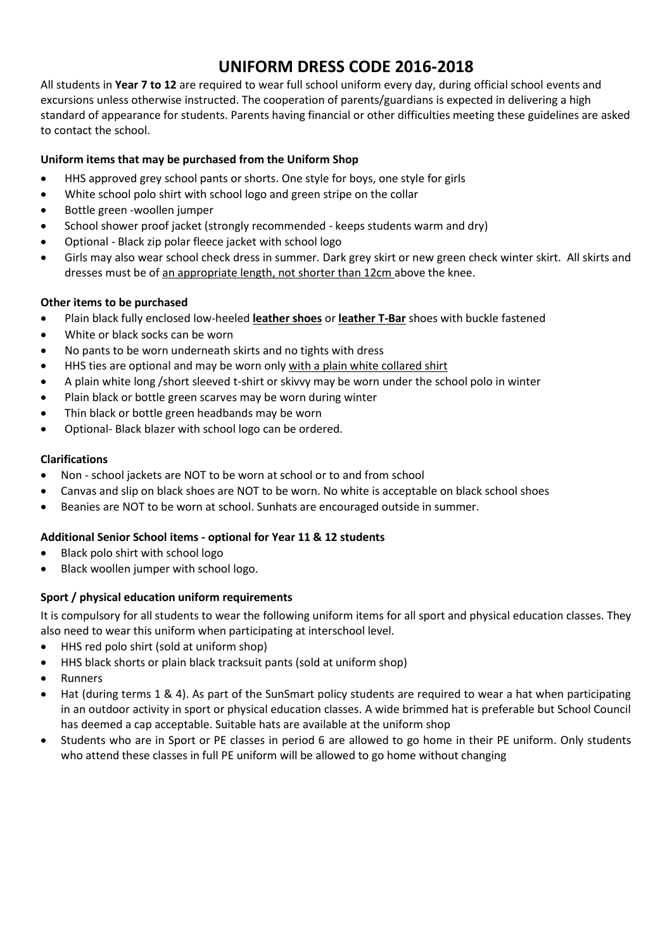# **UNIFORM DRESS CODE 2016-2018**

All students in **Year 7 to 12** are required to wear full school uniform every day, during official school events and excursions unless otherwise instructed. The cooperation of parents/guardians is expected in delivering a high standard of appearance for students. Parents having financial or other difficulties meeting these guidelines are asked to contact the school.

## **Uniform items that may be purchased from the Uniform Shop**

- HHS approved grey school pants or shorts. One style for boys, one style for girls
- White school polo shirt with school logo and green stripe on the collar
- Bottle green -woollen jumper
- School shower proof jacket (strongly recommended keeps students warm and dry)
- Optional Black zip polar fleece jacket with school logo
- Girls may also wear school check dress in summer. Dark grey skirt or new green check winter skirt. All skirts and dresses must be of an appropriate length, not shorter than 12cm above the knee.

## **Other items to be purchased**

- x Plain black fully enclosed low-heeled **leather shoes** or **leather T-Bar** shoes with buckle fastened
- x White or black socks can be worn
- No pants to be worn underneath skirts and no tights with dress
- HHS ties are optional and may be worn only with a plain white collared shirt
- A plain white long /short sleeved t-shirt or skivvy may be worn under the school polo in winter
- Plain black or bottle green scarves may be worn during winter
- Thin black or bottle green headbands may be worn
- Optional- Black blazer with school logo can be ordered.

### **Clarifications**

- Non school jackets are NOT to be worn at school or to and from school
- Canvas and slip on black shoes are NOT to be worn. No white is acceptable on black school shoes
- Beanies are NOT to be worn at school. Sunhats are encouraged outside in summer.

## **Additional Senior School items - optional for Year 11 & 12 students**

- $\bullet$  Black polo shirt with school logo
- Black woollen jumper with school logo.

## **Sport / physical education uniform requirements**

It is compulsory for all students to wear the following uniform items for all sport and physical education classes. They also need to wear this uniform when participating at interschool level.

- HHS red polo shirt (sold at uniform shop)
- HHS black shorts or plain black tracksuit pants (sold at uniform shop)
- **Runners**
- Hat (during terms 1 & 4). As part of the SunSmart policy students are required to wear a hat when participating in an outdoor activity in sport or physical education classes. A wide brimmed hat is preferable but School Council has deemed a cap acceptable. Suitable hats are available at the uniform shop
- Students who are in Sport or PE classes in period 6 are allowed to go home in their PE uniform. Only students who attend these classes in full PE uniform will be allowed to go home without changing